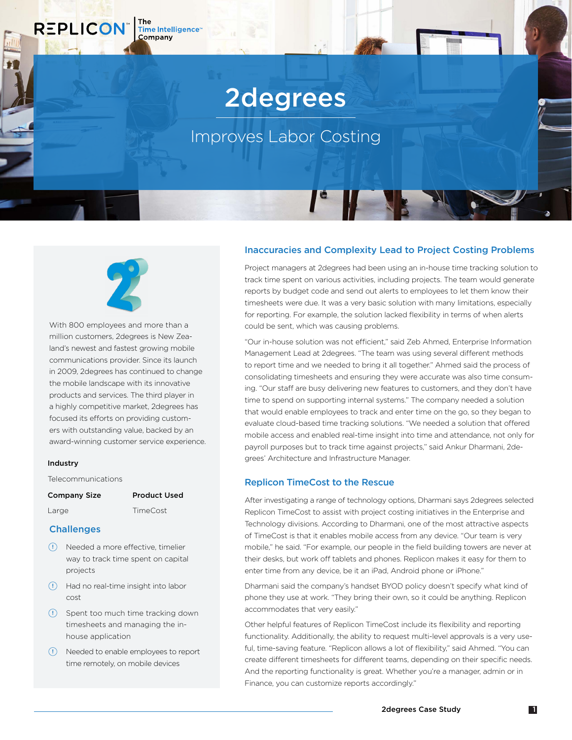# 2degrees

# Improves Labor Costing

The<br>Time Intelligence<sup>®</sup>

Company

**REPLICON** 

With 800 employees and more than a million customers, 2degrees is New Zealand's newest and fastest growing mobile communications provider. Since its launch in 2009, 2degrees has continued to change the mobile landscape with its innovative products and services. The third player in a highly competitive market, 2degrees has focused its efforts on providing customers with outstanding value, backed by an award-winning customer service experience.

#### Industry

Telecommunications

| ard<br>$\cdot$ |
|----------------|
|----------------|

| <b>Challenges</b> |
|-------------------|
|                   |

• Needed a more effective, timelier way to track time spent on capital projects

Product Used TimeCost

- Had no real-time insight into labor cost
- (!) Spent too much time tracking down timesheets and managing the inhouse application
- Needed to enable employees to report time remotely, on mobile devices

#### Inaccuracies and Complexity Lead to Project Costing Problems

Project managers at 2degrees had been using an in-house time tracking solution to track time spent on various activities, including projects. The team would generate reports by budget code and send out alerts to employees to let them know their timesheets were due. It was a very basic solution with many limitations, especially for reporting. For example, the solution lacked flexibility in terms of when alerts could be sent, which was causing problems.

"Our in-house solution was not efficient," said Zeb Ahmed, Enterprise Information Management Lead at 2degrees. "The team was using several different methods to report time and we needed to bring it all together." Ahmed said the process of consolidating timesheets and ensuring they were accurate was also time consuming. "Our staff are busy delivering new features to customers, and they don't have time to spend on supporting internal systems." The company needed a solution that would enable employees to track and enter time on the go, so they began to evaluate cloud-based time tracking solutions. "We needed a solution that offered mobile access and enabled real-time insight into time and attendance, not only for payroll purposes but to track time against projects," said Ankur Dharmani, 2degrees' Architecture and Infrastructure Manager.

#### Replicon TimeCost to the Rescue

After investigating a range of technology options, Dharmani says 2degrees selected Replicon TimeCost to assist with project costing initiatives in the Enterprise and Technology divisions. According to Dharmani, one of the most attractive aspects of TimeCost is that it enables mobile access from any device. "Our team is very mobile," he said. "For example, our people in the field building towers are never at their desks, but work off tablets and phones. Replicon makes it easy for them to enter time from any device, be it an iPad, Android phone or iPhone."

Dharmani said the company's handset BYOD policy doesn't specify what kind of phone they use at work. "They bring their own, so it could be anything. Replicon accommodates that very easily."

Other helpful features of Replicon TimeCost include its flexibility and reporting functionality. Additionally, the ability to request multi-level approvals is a very useful, time-saving feature. "Replicon allows a lot of flexibility," said Ahmed. "You can create different timesheets for different teams, depending on their specific needs. And the reporting functionality is great. Whether you're a manager, admin or in Finance, you can customize reports accordingly."